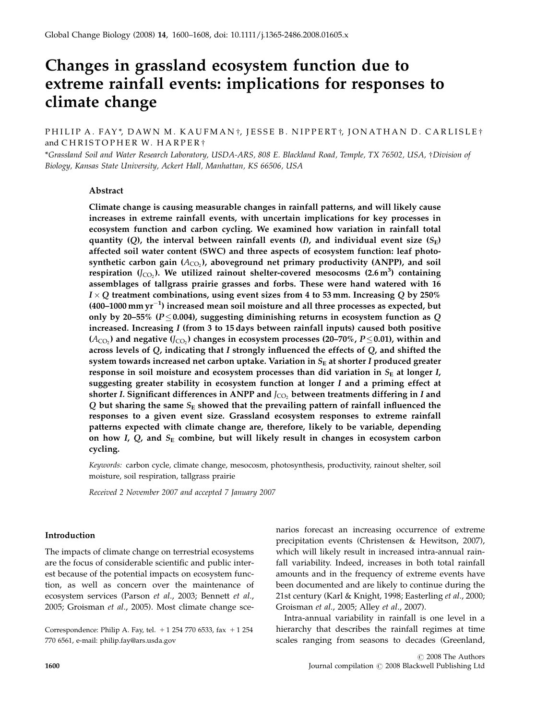# Changes in grassland ecosystem function due to extreme rainfall events: implications for responses to climate change

PHILIP A. FAY\*, DAWN M. KAUFMAN†, JESSE B. NIPPERT†, JONATHAN D. CARLISLE† and  $CHRISTOPHER$  W. HARPER<sup>+</sup>

\*Grassland Soil and Water Research Laboratory, USDA-ARS, 808 E. Blackland Road, Temple, TX 76502, USA, †Division of Biology, Kansas State University, Ackert Hall, Manhattan, KS 66506, USA

# Abstract

Climate change is causing measurable changes in rainfall patterns, and will likely cause increases in extreme rainfall events, with uncertain implications for key processes in ecosystem function and carbon cycling. We examined how variation in rainfall total quantity (Q), the interval between rainfall events (I), and individual event size  $(S<sub>E</sub>)$ affected soil water content (SWC) and three aspects of ecosystem function: leaf photosynthetic carbon gain  $(A_{CO}$ ), aboveground net primary productivity (ANPP), and soil respiration (J $_{\rm CO_2}$ ). We utilized rainout shelter-covered mesocosms (2.6 m $^3$ ) containing assemblages of tallgrass prairie grasses and forbs. These were hand watered with 16  $I \times Q$  treatment combinations, using event sizes from 4 to 53 mm. Increasing Q by 250% (400–1000  $\text{mm yr}^{-1}$ ) increased mean soil moisture and all three processes as expected, but only by 20–55% ( $P \le 0.004$ ), suggesting diminishing returns in ecosystem function as Q increased. Increasing I (from 3 to 15 days between rainfall inputs) caused both positive  $(A<sub>CO</sub>)$  and negative  $(J<sub>CO</sub>)$  changes in ecosystem processes (20–70%,  $P \leq 0.01$ ), within and across levels of  $Q$ , indicating that I strongly influenced the effects of  $Q$ , and shifted the system towards increased net carbon uptake. Variation in  $S<sub>E</sub>$  at shorter I produced greater response in soil moisture and ecosystem processes than did variation in  $S_E$  at longer I, suggesting greater stability in ecosystem function at longer  $I$  and a priming effect at shorter I. Significant differences in ANPP and  $J_{\rm CO}$ , between treatments differing in I and Q but sharing the same  $S_{\rm E}$  showed that the prevailing pattern of rainfall influenced the responses to a given event size. Grassland ecosystem responses to extreme rainfall patterns expected with climate change are, therefore, likely to be variable, depending on how I,  $Q$ , and  $S<sub>E</sub>$  combine, but will likely result in changes in ecosystem carbon cycling.

Keywords: carbon cycle, climate change, mesocosm, photosynthesis, productivity, rainout shelter, soil moisture, soil respiration, tallgrass prairie

Received 2 November 2007 and accepted 7 January 2007

# Introduction

The impacts of climate change on terrestrial ecosystems are the focus of considerable scientific and public interest because of the potential impacts on ecosystem function, as well as concern over the maintenance of ecosystem services (Parson et al., 2003; Bennett et al., 2005; Groisman et al., 2005). Most climate change sce-

Correspondence: Philip A. Fay, tel.  $+1$  254 770 6533, fax  $+1$  254 770 6561, e-mail: philip.fay@ars.usda.gov

narios forecast an increasing occurrence of extreme precipitation events (Christensen & Hewitson, 2007), which will likely result in increased intra-annual rainfall variability. Indeed, increases in both total rainfall amounts and in the frequency of extreme events have been documented and are likely to continue during the 21st century (Karl & Knight, 1998; Easterling et al., 2000; Groisman et al., 2005; Alley et al., 2007).

Intra-annual variability in rainfall is one level in a hierarchy that describes the rainfall regimes at time scales ranging from seasons to decades (Greenland,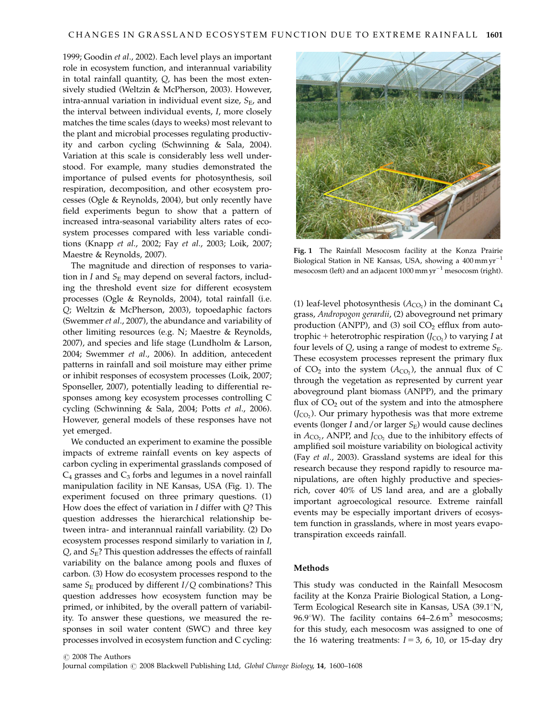1999; Goodin et al., 2002). Each level plays an important role in ecosystem function, and interannual variability in total rainfall quantity, Q, has been the most extensively studied (Weltzin & McPherson, 2003). However, intra-annual variation in individual event size,  $S_{E}$ , and the interval between individual events, I, more closely matches the time scales (days to weeks) most relevant to the plant and microbial processes regulating productivity and carbon cycling (Schwinning & Sala, 2004). Variation at this scale is considerably less well understood. For example, many studies demonstrated the importance of pulsed events for photosynthesis, soil respiration, decomposition, and other ecosystem processes (Ogle & Reynolds, 2004), but only recently have field experiments begun to show that a pattern of increased intra-seasonal variability alters rates of ecosystem processes compared with less variable conditions (Knapp et al., 2002; Fay et al., 2003; Loik, 2007; Maestre & Reynolds, 2007).

The magnitude and direction of responses to variation in I and  $S_{\rm E}$  may depend on several factors, including the threshold event size for different ecosystem processes (Ogle & Reynolds, 2004), total rainfall (i.e. Q; Weltzin & McPherson, 2003), topoedaphic factors (Swemmer et al., 2007), the abundance and variability of other limiting resources (e.g. N; Maestre & Reynolds, 2007), and species and life stage (Lundholm & Larson, 2004; Swemmer et al., 2006). In addition, antecedent patterns in rainfall and soil moisture may either prime or inhibit responses of ecosystem processes (Loik, 2007; Sponseller, 2007), potentially leading to differential responses among key ecosystem processes controlling C cycling (Schwinning & Sala, 2004; Potts et al., 2006). However, general models of these responses have not yet emerged.

We conducted an experiment to examine the possible impacts of extreme rainfall events on key aspects of carbon cycling in experimental grasslands composed of  $C_4$  grasses and  $C_3$  forbs and legumes in a novel rainfall manipulation facility in NE Kansas, USA (Fig. 1). The experiment focused on three primary questions. (1) How does the effect of variation in  $I$  differ with  $Q$ ? This question addresses the hierarchical relationship between intra- and interannual rainfall variability. (2) Do ecosystem processes respond similarly to variation in I,  $Q$ , and  $S_{E}$ ? This question addresses the effects of rainfall variability on the balance among pools and fluxes of carbon. (3) How do ecosystem processes respond to the same  $S_{\rm E}$  produced by different  $I/Q$  combinations? This question addresses how ecosystem function may be primed, or inhibited, by the overall pattern of variability. To answer these questions, we measured the responses in soil water content (SWC) and three key processes involved in ecosystem function and C cycling:



Fig. 1 The Rainfall Mesocosm facility at the Konza Prairie Biological Station in NE Kansas, USA, showing a 400 mm yr<sup>-1</sup> mesocosm (left) and an adjacent  $1000$  mm  $\text{yr}^{-1}$  mesocosm (right).

(1) leaf-level photosynthesis  $(A<sub>CO</sub>)$  in the dominant  $C<sub>4</sub>$ grass, Andropogon gerardii, (2) aboveground net primary production (ANPP), and (3) soil  $CO<sub>2</sub>$  efflux from autotrophic + heterotrophic respiration  $(J<sub>CO</sub>)$  to varying I at four levels of  $Q$ , using a range of modest to extreme  $S_{E}$ . These ecosystem processes represent the primary flux of  $CO_2$  into the system  $(A_{CO_2})$ , the annual flux of C through the vegetation as represented by current year aboveground plant biomass (ANPP), and the primary flux of  $CO<sub>2</sub>$  out of the system and into the atmosphere  $(J_{CO_2})$ . Our primary hypothesis was that more extreme events (longer I and/or larger  $S_E$ ) would cause declines in  $A_{CO}$ , ANPP, and  $J_{CO}$ , due to the inhibitory effects of amplified soil moisture variability on biological activity (Fay et al., 2003). Grassland systems are ideal for this research because they respond rapidly to resource manipulations, are often highly productive and speciesrich, cover 40% of US land area, and are a globally important agroecological resource. Extreme rainfall events may be especially important drivers of ecosystem function in grasslands, where in most years evapotranspiration exceeds rainfall.

# Methods

This study was conducted in the Rainfall Mesocosm facility at the Konza Prairie Biological Station, a Long-Term Ecological Research site in Kansas, USA (39.1°N, 96.9°W). The facility contains  $64-2.6 \text{ m}^3$  mesocosms; for this study, each mesocosm was assigned to one of the 16 watering treatments:  $I = 3$ , 6, 10, or 15-day dry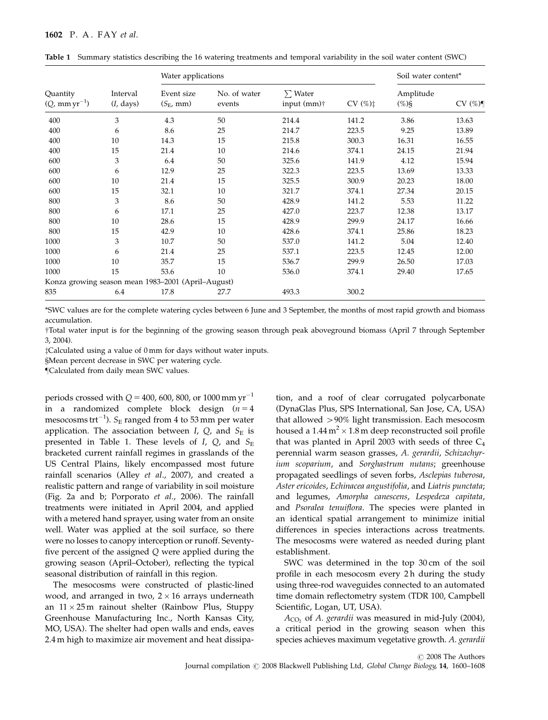|                                      | Interval<br>$(I, \text{days})$ | Water applications                                 |                        | Soil water content*                     |       |                       |       |
|--------------------------------------|--------------------------------|----------------------------------------------------|------------------------|-----------------------------------------|-------|-----------------------|-------|
| Quantity<br>$(Q, \text{mm yr}^{-1})$ |                                | Event size<br>$(S_{\rm E}, \text{mm})$             | No. of water<br>events | $\sum$ Water<br>input (mm) <sup>†</sup> | CV(%) | Amplitude<br>$(\%)\S$ | CV(%) |
| 400                                  | 3                              | 4.3                                                | 50                     | 214.4                                   | 141.2 | 3.86                  | 13.63 |
| 400                                  | 6                              | 8.6                                                | 25                     | 214.7                                   | 223.5 | 9.25                  | 13.89 |
| 400                                  | 10                             | 14.3                                               | 15                     | 215.8                                   | 300.3 | 16.31                 | 16.55 |
| 400                                  | 15                             | 21.4                                               | 10                     | 214.6                                   | 374.1 | 24.15                 | 21.94 |
| 600                                  | 3                              | 6.4                                                | 50                     | 325.6                                   | 141.9 | 4.12                  | 15.94 |
| 600                                  | 6                              | 12.9                                               | 25                     | 322.3                                   | 223.5 | 13.69                 | 13.33 |
| 600                                  | 10                             | 21.4                                               | 15                     | 325.5                                   | 300.9 | 20.23                 | 18.00 |
| 600                                  | 15                             | 32.1                                               | 10                     | 321.7                                   | 374.1 | 27.34                 | 20.15 |
| 800                                  | 3                              | 8.6                                                | 50                     | 428.9                                   | 141.2 | 5.53                  | 11.22 |
| 800                                  | 6                              | 17.1                                               | 25                     | 427.0                                   | 223.7 | 12.38                 | 13.17 |
| 800                                  | 10                             | 28.6                                               | 15                     | 428.9                                   | 299.9 | 24.17                 | 16.66 |
| 800                                  | 15                             | 42.9                                               | 10                     | 428.6                                   | 374.1 | 25.86                 | 18.23 |
| 1000                                 | 3                              | 10.7                                               | 50                     | 537.0                                   | 141.2 | 5.04                  | 12.40 |
| 1000                                 | 6                              | 21.4                                               | 25                     | 537.1                                   | 223.5 | 12.45                 | 12.00 |
| 1000                                 | 10                             | 35.7                                               | 15                     | 536.7                                   | 299.9 | 26.50                 | 17.03 |
| 1000                                 | 15                             | 53.6                                               | 10                     | 536.0                                   | 374.1 | 29.40                 | 17.65 |
|                                      |                                | Konza growing season mean 1983-2001 (April-August) |                        |                                         |       |                       |       |
| 835                                  | 6.4                            | 17.8                                               | 27.7                   | 493.3                                   | 300.2 |                       |       |

Table 1 Summary statistics describing the 16 watering treatments and temporal variability in the soil water content (SWC)

\*SWC values are for the complete watering cycles between 6 June and 3 September, the months of most rapid growth and biomass accumulation.

Total water input is for the beginning of the growing season through peak aboveground biomass (April 7 through September 3, 2004).

zCalculated using a value of 0 mm for days without water inputs.

§Mean percent decrease in SWC per watering cycle.

}Calculated from daily mean SWC values.

periods crossed with  $Q$  = 400, 600, 800, or 1000 mm  $\rm{yr}^{-1}$ in a randomized complete block design  $(n = 4)$ mesocosms trt $^{-1}$ ).  $S_{\rm E}$  ranged from 4 to 53 mm per water application. The association between I,  $Q$ , and  $S_E$  is presented in Table 1. These levels of  $I$ ,  $Q$ , and  $S_E$ bracketed current rainfall regimes in grasslands of the US Central Plains, likely encompassed most future rainfall scenarios (Alley et al., 2007), and created a realistic pattern and range of variability in soil moisture (Fig. 2a and b; Porporato et al., 2006). The rainfall treatments were initiated in April 2004, and applied with a metered hand sprayer, using water from an onsite well. Water was applied at the soil surface, so there were no losses to canopy interception or runoff. Seventyfive percent of the assigned Q were applied during the growing season (April–October), reflecting the typical seasonal distribution of rainfall in this region.

The mesocosms were constructed of plastic-lined wood, and arranged in two,  $2 \times 16$  arrays underneath an  $11 \times 25$  m rainout shelter (Rainbow Plus, Stuppy Greenhouse Manufacturing Inc., North Kansas City, MO, USA). The shelter had open walls and ends, eaves 2.4 m high to maximize air movement and heat dissipation, and a roof of clear corrugated polycarbonate (DynaGlas Plus, SPS International, San Jose, CA, USA) that allowed >90% light transmission. Each mesocosm housed a  $1.44 \text{ m}^2 \times 1.8 \text{ m}$  deep reconstructed soil profile that was planted in April 2003 with seeds of three  $C_4$ perennial warm season grasses, A. gerardii, Schizachyrium scoparium, and Sorghastrum nutans; greenhouse propagated seedlings of seven forbs, Asclepias tuberosa, Aster ericoides, Echinacea angustifolia, and Liatris punctata; and legumes, Amorpha canescens, Lespedeza capitata, and Psoralea tenuiflora. The species were planted in an identical spatial arrangement to minimize initial differences in species interactions across treatments. The mesocosms were watered as needed during plant establishment.

SWC was determined in the top 30 cm of the soil profile in each mesocosm every 2 h during the study using three-rod waveguides connected to an automated time domain reflectometry system (TDR 100, Campbell Scientific, Logan, UT, USA).

 $A_{CO<sub>2</sub>}$  of A. gerardii was measured in mid-July (2004), a critical period in the growing season when this species achieves maximum vegetative growth. A. gerardii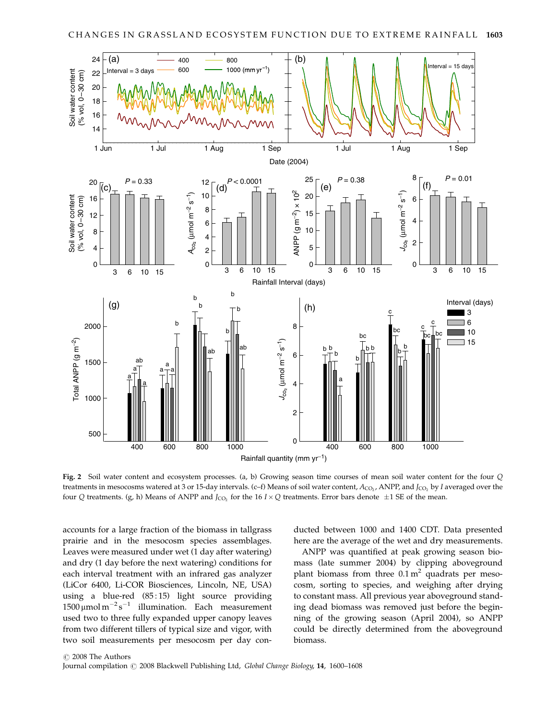

Fig. 2 Soil water content and ecosystem processes. (a, b) Growing season time courses of mean soil water content for the four Q treatments in mesocosms watered at 3 or 15-day intervals. (c–f) Means of soil water content,  $A_{CO}$ , ANPP, and  $J_{CO}$ , by I averaged over the four Q treatments. (g, h) Means of ANPP and  $J_{CO_2}$  for the 16  $I \times Q$  treatments. Error bars denote  $\pm 1$  SE of the mean.

accounts for a large fraction of the biomass in tallgrass prairie and in the mesocosm species assemblages. Leaves were measured under wet (1 day after watering) and dry (1 day before the next watering) conditions for each interval treatment with an infrared gas analyzer (LiCor 6400, Li-COR Biosciences, Lincoln, NE, USA) using a blue-red (85:15) light source providing  $1500 \,\mathrm{\upmu}$ mol m $^{-2} \mathrm{s}^{-1}$  illumination. Each measurement used two to three fully expanded upper canopy leaves from two different tillers of typical size and vigor, with two soil measurements per mesocosm per day con-

ducted between 1000 and 1400 CDT. Data presented here are the average of the wet and dry measurements.

ANPP was quantified at peak growing season biomass (late summer 2004) by clipping aboveground plant biomass from three  $0.1 \text{ m}^2$  quadrats per mesocosm, sorting to species, and weighing after drying to constant mass. All previous year aboveground standing dead biomass was removed just before the beginning of the growing season (April 2004), so ANPP could be directly determined from the aboveground biomass.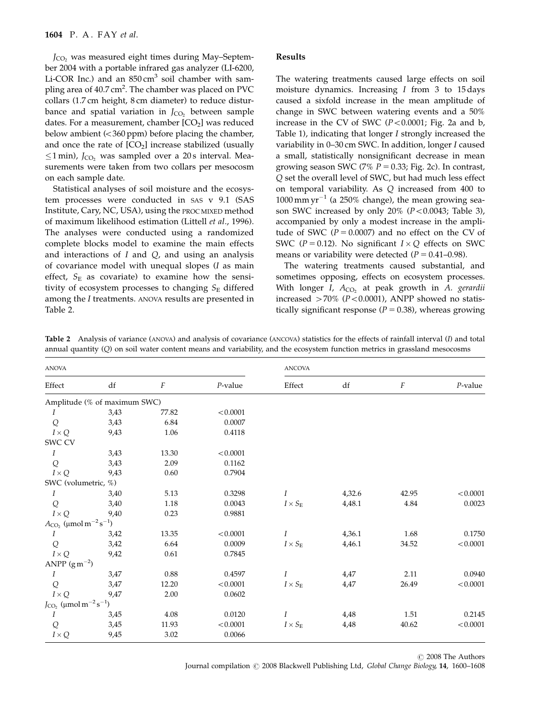$J_{\text{CO}}$ , was measured eight times during May–September 2004 with a portable infrared gas analyzer (LI-6200, Li-COR Inc.) and an  $850 \text{ cm}^3$  soil chamber with sampling area of 40.7 cm<sup>2</sup>. The chamber was placed on PVC collars (1.7 cm height, 8 cm diameter) to reduce disturbance and spatial variation in  $I_{CO2}$  between sample dates. For a measurement, chamber  $[CO<sub>2</sub>]$  was reduced below ambient  $\left( < 360$  ppm) before placing the chamber, and once the rate of  $[CO<sub>2</sub>]$  increase stabilized (usually  $\leq$ 1 min), J<sub>CO2</sub> was sampled over a 20 s interval. Measurements were taken from two collars per mesocosm on each sample date.

Statistical analyses of soil moisture and the ecosystem processes were conducted in SAS v 9.1 (SAS Institute, Cary, NC, USA), using the PROC MIXED method of maximum likelihood estimation (Littell et al., 1996). The analyses were conducted using a randomized complete blocks model to examine the main effects and interactions of  $I$  and  $Q$ , and using an analysis of covariance model with unequal slopes (I as main effect,  $S_E$  as covariate) to examine how the sensitivity of ecosystem processes to changing  $S_E$  differed among the I treatments. ANOVA results are presented in Table 2.

## Results

The watering treatments caused large effects on soil moisture dynamics. Increasing I from 3 to 15 days caused a sixfold increase in the mean amplitude of change in SWC between watering events and a 50% increase in the CV of SWC  $(P<0.0001$ ; Fig. 2a and b, Table 1), indicating that longer I strongly increased the variability in 0–30 cm SWC. In addition, longer I caused a small, statistically nonsignificant decrease in mean growing season SWC (7%  $P = 0.33$ ; Fig. 2c). In contrast, Q set the overall level of SWC, but had much less effect on temporal variability. As Q increased from 400 to  $1000$  mm yr<sup>-1</sup> (a 250% change), the mean growing season SWC increased by only 20%  $(P<0.0043$ ; Table 3), accompanied by only a modest increase in the amplitude of SWC ( $P = 0.0007$ ) and no effect on the CV of SWC ( $P = 0.12$ ). No significant  $I \times Q$  effects on SWC means or variability were detected  $(P = 0.41-0.98)$ .

The watering treatments caused substantial, and sometimes opposing, effects on ecosystem processes. With longer I,  $A_{CO}$ , at peak growth in A. gerardii increased  $>70\%$  (P<0.0001), ANPP showed no statistically significant response ( $P = 0.38$ ), whereas growing

| Table 2 Analysis of variance (ANOVA) and analysis of covariance (ANCOVA) statistics for the effects of rainfall interval (I) and total |  |
|----------------------------------------------------------------------------------------------------------------------------------------|--|
| annual quantity (Q) on soil water content means and variability, and the ecosystem function metrics in grassland mesocosms             |  |

| <b>ANOVA</b>                                       |                              |                  |            | <b>ANCOVA</b>       |        |                  |            |
|----------------------------------------------------|------------------------------|------------------|------------|---------------------|--------|------------------|------------|
| Effect                                             | $\mathrm{d}\mathrm{f}$       | $\boldsymbol{F}$ | $P$ -value | Effect              | df     | $\boldsymbol{F}$ | $P$ -value |
|                                                    | Amplitude (% of maximum SWC) |                  |            |                     |        |                  |            |
| Ι                                                  | 3,43                         | 77.82            | < 0.0001   |                     |        |                  |            |
| Q                                                  | 3,43                         | 6.84             | 0.0007     |                     |        |                  |            |
| $I\times Q$                                        | 9,43                         | 1.06             | 0.4118     |                     |        |                  |            |
| SWC CV                                             |                              |                  |            |                     |        |                  |            |
| Ι                                                  | 3,43                         | 13.30            | < 0.0001   |                     |        |                  |            |
| Q                                                  | 3,43                         | 2.09             | 0.1162     |                     |        |                  |            |
| $I\times Q$                                        | 9,43                         | 0.60             | 0.7904     |                     |        |                  |            |
| SWC (volumetric, %)                                |                              |                  |            |                     |        |                  |            |
| $\boldsymbol{I}$                                   | 3,40                         | 5.13             | 0.3298     | Ι                   | 4,32.6 | 42.95            | < 0.0001   |
| Q                                                  | 3,40                         | 1.18             | 0.0043     | $I\times S_{\rm E}$ | 4,48.1 | 4.84             | 0.0023     |
| $I\times Q$                                        | 9,40                         | 0.23             | 0.9881     |                     |        |                  |            |
| $A_{\rm CO_2}~(\mu\rm mol\,m^{-2}\,s^{-1})$        |                              |                  |            |                     |        |                  |            |
| Ι                                                  | 3,42                         | 13.35            | < 0.0001   | Ι                   | 4,36.1 | 1.68             | 0.1750     |
| Q                                                  | 3,42                         | 6.64             | 0.0009     | $I\times S_{\rm E}$ | 4,46.1 | 34.52            | < 0.0001   |
| $I \times Q$                                       | 9,42                         | 0.61             | 0.7845     |                     |        |                  |            |
| ANPP $(g m^{-2})$                                  |                              |                  |            |                     |        |                  |            |
| I                                                  | 3,47                         | $0.88\,$         | 0.4597     | $\boldsymbol{I}$    | 4,47   | 2.11             | 0.0940     |
| Q                                                  | 3,47                         | 12.20            | < 0.0001   | $I\times S_{\rm E}$ | 4,47   | 26.49            | < 0.0001   |
| $I\times Q$                                        | 9,47                         | 2.00             | 0.0602     |                     |        |                  |            |
| $J_{CO_2}$ (µmol m <sup>-2</sup> s <sup>-1</sup> ) |                              |                  |            |                     |        |                  |            |
| I                                                  | 3,45                         | 4.08             | 0.0120     | I                   | 4,48   | 1.51             | 0.2145     |
| Q                                                  | 3,45                         | 11.93            | < 0.0001   | $I\times S_{\rm E}$ | 4,48   | 40.62            | < 0.0001   |
| $I\times Q$                                        | 9,45                         | 3.02             | 0.0066     |                     |        |                  |            |

 $\odot$  2008 The Authors Journal compilation  $\odot$  2008 Blackwell Publishing Ltd, Global Change Biology, 14, 1600–1608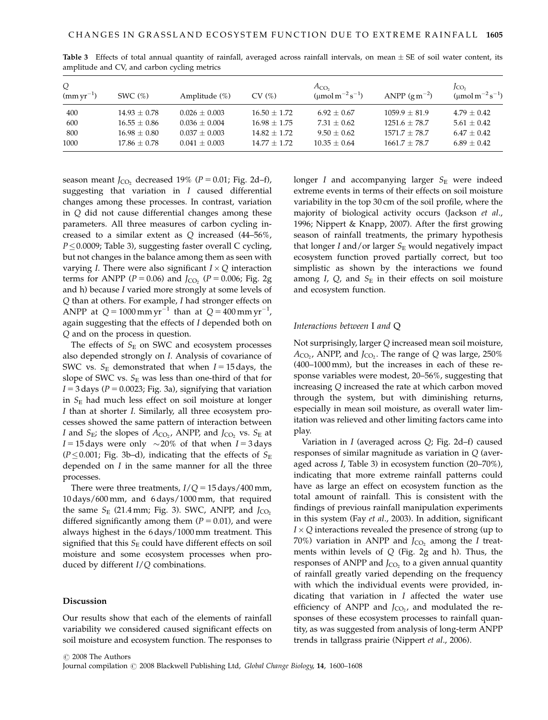| Q<br>$(mm yr^{-1})$ | SWC $(\%)$       | Amplitude $(\%)$ | CV(%)          | $A_{CO2}$<br>( $\mu$ mol m <sup>-2</sup> s <sup>-1</sup> ) | ANPP $(g m^{-2})$ | JCO <sub>2</sub><br>( $\mu$ mol m <sup>-2</sup> s <sup>-1</sup> ) |
|---------------------|------------------|------------------|----------------|------------------------------------------------------------|-------------------|-------------------------------------------------------------------|
| 400                 | $14.93 + 0.78$   | $0.026 + 0.003$  | $16.50 + 1.72$ | $6.92 \pm 0.67$                                            | $1059.9 + 81.9$   | $4.79 + 0.42$                                                     |
| 600                 | $16.55 \pm 0.86$ | $0.036 + 0.004$  | $16.98 + 1.75$ | $7.31 + 0.62$                                              | $1251.6 \pm 78.7$ | $5.61 + 0.42$                                                     |
| 800                 | $16.98 + 0.80$   | $0.037 + 0.003$  | $14.82 + 1.72$ | $9.50 + 0.62$                                              | $1571.7 + 78.7$   | $6.47 + 0.42$                                                     |
| 1000                | $17.86 \pm 0.78$ | $0.041 + 0.003$  | $14.77 + 1.72$ | $10.35 + 0.64$                                             | $1661.7 + 78.7$   | $6.89 + 0.42$                                                     |

**Table 3** Effects of total annual quantity of rainfall, averaged across rainfall intervals, on mean  $\pm$  SE of soil water content, its amplitude and CV, and carbon cycling metrics

season meant  $J_{CO}$ , decreased 19% ( $P = 0.01$ ; Fig. 2d–f), suggesting that variation in I caused differential changes among these processes. In contrast, variation in Q did not cause differential changes among these parameters. All three measures of carbon cycling increased to a similar extent as Q increased (44–56%,  $P \leq 0.0009$ ; Table 3), suggesting faster overall C cycling, but not changes in the balance among them as seen with varying *I*. There were also significant  $I \times Q$  interaction terms for ANPP ( $P = 0.06$ ) and  $J_{CO}$ , ( $P = 0.006$ ; Fig. 2g and h) because I varied more strongly at some levels of Q than at others. For example, I had stronger effects on ANPP at  $Q = 1000 \text{ mm yr}^{-1}$  than at  $Q = 400 \text{ mm yr}^{-1}$ , again suggesting that the effects of I depended both on Q and on the process in question.

The effects of  $S_E$  on SWC and ecosystem processes also depended strongly on I. Analysis of covariance of SWC vs.  $S_E$  demonstrated that when  $I = 15$  days, the slope of SWC vs.  $S_E$  was less than one-third of that for  $I = 3$  days ( $P = 0.0023$ ; Fig. 3a), signifying that variation in  $S_{\rm E}$  had much less effect on soil moisture at longer I than at shorter I. Similarly, all three ecosystem processes showed the same pattern of interaction between I and  $S_E$ ; the slopes of  $A_{CO_2}$ , ANPP, and  $J_{CO_2}$  vs.  $S_E$  at  $I = 15$  days were only  $\sim 20\%$  of that when  $I = 3$  days ( $P \le 0.001$ ; Fig. 3b–d), indicating that the effects of  $S_E$ depended on  $I$  in the same manner for all the three processes.

There were three treatments,  $I/Q = 15 \text{ days}/400 \text{ mm}$ , 10 days/600 mm, and 6 days/1000 mm, that required the same  $S_E$  (21.4 mm; Fig. 3). SWC, ANPP, and  $J_{CO_2}$ differed significantly among them  $(P = 0.01)$ , and were always highest in the 6 days/1000 mm treatment. This signified that this  $S_E$  could have different effects on soil moisture and some ecosystem processes when produced by different  $I/Q$  combinations.

## Discussion

Our results show that each of the elements of rainfall variability we considered caused significant effects on soil moisture and ecosystem function. The responses to longer  $I$  and accompanying larger  $S_E$  were indeed extreme events in terms of their effects on soil moisture variability in the top 30 cm of the soil profile, where the majority of biological activity occurs (Jackson et al., 1996; Nippert & Knapp, 2007). After the first growing season of rainfall treatments, the primary hypothesis that longer I and/or larger  $S_E$  would negatively impact ecosystem function proved partially correct, but too simplistic as shown by the interactions we found among  $I$ ,  $Q$ , and  $S_E$  in their effects on soil moisture and ecosystem function.

## Interactions between I and Q

Not surprisingly, larger Q increased mean soil moisture,  $A_{CO_2}$ , ANPP, and  $J_{CO_2}$ . The range of Q was large, 250% (400–1000 mm), but the increases in each of these response variables were modest, 20–56%, suggesting that increasing Q increased the rate at which carbon moved through the system, but with diminishing returns, especially in mean soil moisture, as overall water limitation was relieved and other limiting factors came into play.

Variation in I (averaged across Q; Fig. 2d–f) caused responses of similar magnitude as variation in Q (averaged across I, Table 3) in ecosystem function (20–70%), indicating that more extreme rainfall patterns could have as large an effect on ecosystem function as the total amount of rainfall. This is consistent with the findings of previous rainfall manipulation experiments in this system (Fay et al., 2003). In addition, significant  $I \times Q$  interactions revealed the presence of strong (up to 70%) variation in ANPP and  $J_{CO}$  among the I treatments within levels of  $Q$  (Fig. 2g and h). Thus, the responses of ANPP and  $J_{CO}$ , to a given annual quantity of rainfall greatly varied depending on the frequency with which the individual events were provided, indicating that variation in  $I$  affected the water use efficiency of ANPP and  $J_{CO<sub>2</sub>}$  and modulated the responses of these ecosystem processes to rainfall quantity, as was suggested from analysis of long-term ANPP trends in tallgrass prairie (Nippert et al., 2006).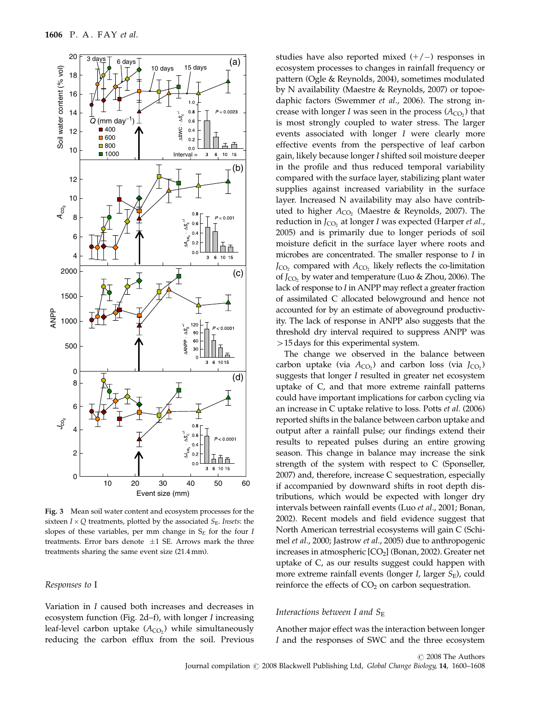

Fig. 3 Mean soil water content and ecosystem processes for the sixteen  $I \times Q$  treatments, plotted by the associated  $S_E$ . Insets: the slopes of these variables, per mm change in  $S_E$  for the four I treatments. Error bars denote  $\pm 1$  SE. Arrows mark the three treatments sharing the same event size (21.4 mm).

# Responses to I

Variation in I caused both increases and decreases in ecosystem function (Fig. 2d–f), with longer I increasing leaf-level carbon uptake  $(A_{CO_2})$  while simultaneously reducing the carbon efflux from the soil. Previous

studies have also reported mixed  $(+/-)$  responses in ecosystem processes to changes in rainfall frequency or pattern (Ogle & Reynolds, 2004), sometimes modulated by N availability (Maestre & Reynolds, 2007) or topoedaphic factors (Swemmer et al., 2006). The strong increase with longer I was seen in the process  $(A_{CO_2})$  that is most strongly coupled to water stress. The larger events associated with longer I were clearly more effective events from the perspective of leaf carbon gain, likely because longer I shifted soil moisture deeper in the profile and thus reduced temporal variability compared with the surface layer, stabilizing plant water supplies against increased variability in the surface layer. Increased N availability may also have contributed to higher  $A_{CO_2}$  (Maestre & Reynolds, 2007). The reduction in  $J_{\text{CO}}$ , at longer I was expected (Harper *et al.*, 2005) and is primarily due to longer periods of soil moisture deficit in the surface layer where roots and microbes are concentrated. The smaller response to I in  $J_{\text{CO}}$ , compared with  $A_{\text{CO}}$ , likely reflects the co-limitation of  $J_{\text{CO}}$ , by water and temperature (Luo & Zhou, 2006). The lack of response to I in ANPP may reflect a greater fraction of assimilated C allocated belowground and hence not accounted for by an estimate of aboveground productivity. The lack of response in ANPP also suggests that the threshold dry interval required to suppress ANPP was  $>$ 15 days for this experimental system.

The change we observed in the balance between carbon uptake (via  $A_{CO_2}$ ) and carbon loss (via  $J_{CO_2}$ ) suggests that longer I resulted in greater net ecosystem uptake of C, and that more extreme rainfall patterns could have important implications for carbon cycling via an increase in C uptake relative to loss. Potts et al. (2006) reported shifts in the balance between carbon uptake and output after a rainfall pulse; our findings extend their results to repeated pulses during an entire growing season. This change in balance may increase the sink strength of the system with respect to C (Sponseller, 2007) and, therefore, increase C sequestration, especially if accompanied by downward shifts in root depth distributions, which would be expected with longer dry intervals between rainfall events (Luo et al., 2001; Bonan, 2002). Recent models and field evidence suggest that North American terrestrial ecosystems will gain C (Schimel et al., 2000; Jastrow et al., 2005) due to anthropogenic increases in atmospheric  $[CO<sub>2</sub>]$  (Bonan, 2002). Greater net uptake of C, as our results suggest could happen with more extreme rainfall events (longer  $I$ , larger  $S_F$ ), could reinforce the effects of  $CO<sub>2</sub>$  on carbon sequestration.

#### Interactions between I and  $S_{\rm E}$

Another major effect was the interaction between longer I and the responses of SWC and the three ecosystem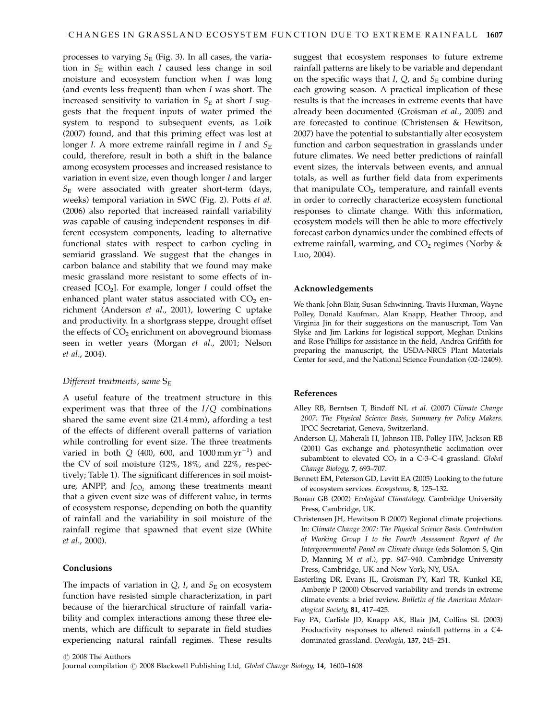processes to varying  $S_E$  (Fig. 3). In all cases, the variation in  $S_E$  within each I caused less change in soil moisture and ecosystem function when I was long (and events less frequent) than when I was short. The increased sensitivity to variation in  $S_E$  at short I suggests that the frequent inputs of water primed the system to respond to subsequent events, as Loik (2007) found, and that this priming effect was lost at longer I. A more extreme rainfall regime in I and  $S_{\rm E}$ could, therefore, result in both a shift in the balance among ecosystem processes and increased resistance to variation in event size, even though longer I and larger  $S_{\rm E}$  were associated with greater short-term (days, weeks) temporal variation in SWC (Fig. 2). Potts et al. (2006) also reported that increased rainfall variability was capable of causing independent responses in different ecosystem components, leading to alternative functional states with respect to carbon cycling in semiarid grassland. We suggest that the changes in carbon balance and stability that we found may make mesic grassland more resistant to some effects of increased  $[CO<sub>2</sub>]$ . For example, longer I could offset the enhanced plant water status associated with  $CO<sub>2</sub>$  enrichment (Anderson et al., 2001), lowering C uptake and productivity. In a shortgrass steppe, drought offset the effects of  $CO<sub>2</sub>$  enrichment on aboveground biomass seen in wetter years (Morgan et al., 2001; Nelson et al., 2004).

#### Different treatments, same  $S_E$

A useful feature of the treatment structure in this experiment was that three of the  $I/Q$  combinations shared the same event size (21.4 mm), affording a test of the effects of different overall patterns of variation while controlling for event size. The three treatments varied in both  $Q$  (400, 600, and 1000 mm  $yr^{-1}$ ) and the CV of soil moisture (12%, 18%, and 22%, respectively; Table 1). The significant differences in soil moisture, ANPP, and  $J_{CO}$ , among these treatments meant that a given event size was of different value, in terms of ecosystem response, depending on both the quantity of rainfall and the variability in soil moisture of the rainfall regime that spawned that event size (White et al., 2000).

#### Conclusions

The impacts of variation in  $Q$ , I, and  $S_{\rm E}$  on ecosystem function have resisted simple characterization, in part because of the hierarchical structure of rainfall variability and complex interactions among these three elements, which are difficult to separate in field studies experiencing natural rainfall regimes. These results

suggest that ecosystem responses to future extreme rainfall patterns are likely to be variable and dependant on the specific ways that I,  $Q$ , and  $S_F$  combine during each growing season. A practical implication of these results is that the increases in extreme events that have already been documented (Groisman et al., 2005) and are forecasted to continue (Christensen & Hewitson, 2007) have the potential to substantially alter ecosystem function and carbon sequestration in grasslands under future climates. We need better predictions of rainfall event sizes, the intervals between events, and annual totals, as well as further field data from experiments that manipulate  $CO<sub>2</sub>$ , temperature, and rainfall events in order to correctly characterize ecosystem functional responses to climate change. With this information, ecosystem models will then be able to more effectively forecast carbon dynamics under the combined effects of extreme rainfall, warming, and  $CO<sub>2</sub>$  regimes (Norby & Luo, 2004).

## Acknowledgements

We thank John Blair, Susan Schwinning, Travis Huxman, Wayne Polley, Donald Kaufman, Alan Knapp, Heather Throop, and Virginia Jin for their suggestions on the manuscript, Tom Van Slyke and Jim Larkins for logistical support, Meghan Dinkins and Rose Phillips for assistance in the field, Andrea Griffith for preparing the manuscript, the USDA-NRCS Plant Materials Center for seed, and the National Science Foundation (02-12409).

#### References

- Alley RB, Berntsen T, Bindoff NL et al. (2007) Climate Change 2007: The Physical Science Basis, Summary for Policy Makers. IPCC Secretariat, Geneva, Switzerland.
- Anderson LJ, Maherali H, Johnson HB, Polley HW, Jackson RB (2001) Gas exchange and photosynthetic acclimation over subambient to elevated  $CO<sub>2</sub>$  in a C-3-C-4 grassland. Global Change Biology, 7, 693–707.
- Bennett EM, Peterson GD, Levitt EA (2005) Looking to the future of ecosystem services. Ecosystems, 8, 125–132.
- Bonan GB (2002) Ecological Climatology. Cambridge University Press, Cambridge, UK.
- Christensen JH, Hewitson B (2007) Regional climate projections. In: Climate Change 2007: The Physical Science Basis. Contribution of Working Group I to the Fourth Assessment Report of the Intergovernmental Panel on Climate change (eds Solomon S, Qin D, Manning M et al.), pp. 847–940. Cambridge University Press, Cambridge, UK and New York, NY, USA.
- Easterling DR, Evans JL, Groisman PY, Karl TR, Kunkel KE, Ambenje P (2000) Observed variability and trends in extreme climate events: a brief review. Bulletin of the American Meteorological Society, 81, 417–425.
- Fay PA, Carlisle JD, Knapp AK, Blair JM, Collins SL (2003) Productivity responses to altered rainfall patterns in a C4 dominated grassland. Oecologia, 137, 245–251.